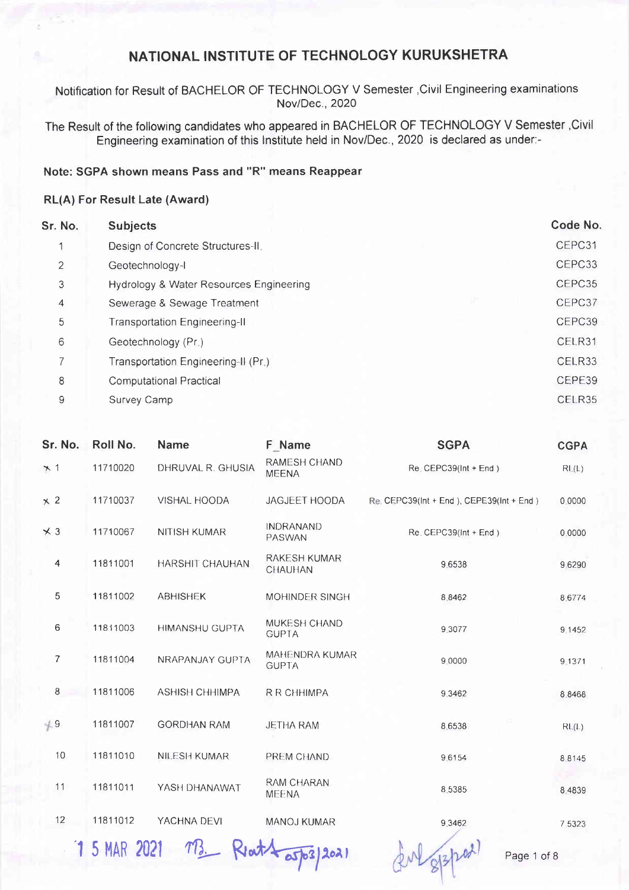Notification for Result of BACHELOR OF TECHNOLOGY V Semester ,Civil Engineering examinations Nov/Dec., 2020

The Result of the following candidates who appeared in BACHELOR OF TECHNOLOGY V Semester ,Civil Engineering examination of this lnstitute held in Nov/Dec.,2020 is declared as under:-

#### Note: SGPA shown means Pass and "R" means Reappear

#### RL(A) For Result Late (Award)

| Sr. No.        | <b>Subjects</b>                         | Code No. |
|----------------|-----------------------------------------|----------|
|                | Design of Concrete Structures-II.       | CEPC31   |
| $\overline{2}$ | Geotechnology-I                         | CEPC33   |
| 3              | Hydrology & Water Resources Engineering | CEPC35   |
| 4              | Sewerage & Sewage Treatment             | CEPC37   |
| 5              | <b>Transportation Engineering-II</b>    | CEPC39   |
| $\overline{6}$ | Geotechnology (Pr.)                     | CELR31   |
| 7              | Transportation Engineering-II (Pr.)     | CELR33   |
| 8              | <b>Computational Practical</b>          | CEPE39   |
| 9              | Survey Camp                             | CELR35   |
|                |                                         |          |

| Sr. No.        | Roll No.            | <b>Name</b>           | F Name                                | <b>SGPA</b>                                | <b>CGPA</b> |
|----------------|---------------------|-----------------------|---------------------------------------|--------------------------------------------|-------------|
| $\times$ 1     | 11710020            | DHRUVAL R. GHUSIA     | <b>RAMESH CHAND</b><br><b>MEENA</b>   | $Re$ CEPC39( $Int + End$ )                 | RL(L)       |
| $\times$ 2     | 11710037            | VISHAL HOODA          | JAGJEET HOODA                         | Re. CEPC39(Int + End ), CEPE39(Int + End ) | 0.0000      |
| $\times$ 3     | 11710067            | <b>NITISH KUMAR</b>   | <b>INDRANAND</b><br>PASWAN            | $Re$ CEPC39( $Int + End$ )                 | 0.0000      |
| $\overline{4}$ | 11811001            | HARSHIT CHAUHAN       | <b>RAKESH KUMAR</b><br>CHAUHAN        | 9.6538                                     | 9.6290      |
| 5              | 11811002            | <b>ABHISHEK</b>       | <b>MOHINDER SINGH</b>                 | 8 8 4 6 2                                  | 8 6774      |
| 6              | 11811003            | <b>HIMANSHU GUPTA</b> | MUKESH CHAND<br><b>GUPTA</b>          | 9.3077                                     | 9.1452      |
| $\overline{7}$ | 11811004            | NRAPANJAY GUPTA       | <b>MAHENDRA KUMAR</b><br><b>GUPTA</b> | 9 0000                                     | 9 13 7 1    |
| $\,8\,$        | 11811006            | <b>ASHISH CHHIMPA</b> | <b>R R CHHIMPA</b>                    | 9.3462                                     | 8.8468      |
| $+9$           | 11811007            | <b>GORDHAN RAM</b>    | <b>JETHA RAM</b>                      | 8.6538                                     | RL(L)       |
| 10             | 11811010            | <b>NILESH KUMAR</b>   | PREM CHAND                            | 9.6154                                     | 8 8 1 4 5   |
| 11             | 11811011            | YASH DHANAWAT         | <b>RAM CHARAN</b><br><b>MEENA</b>     | 8.5385                                     | 8.4839      |
| 12             | 11811012            | YACHNA DEVI           | <b>MANOJ KUMAR</b>                    | 9.3462                                     | 7 5 3 2 3   |
|                | <b>1 5 MAR 2021</b> |                       |                                       | Page 1 of 8                                |             |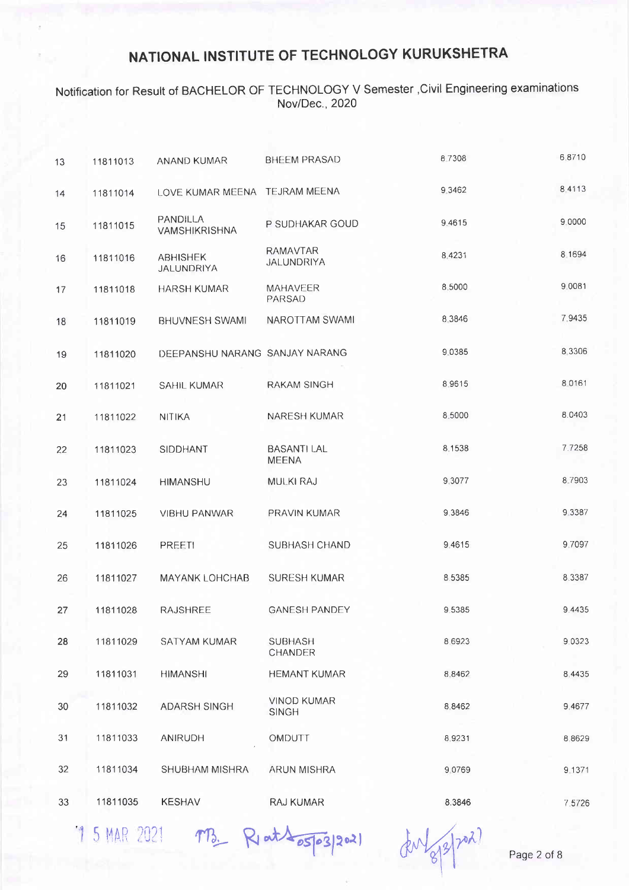### Notification for Result of BACHELOR OF TECHNOLOGY V Semester ,Civil Engineering examinations Nov/Dec., 2020

| 13 | 11811013 | ANAND KUMAR                    | <b>BHEEM PRASAD</b>                  | 87308     | 6.8710    |
|----|----------|--------------------------------|--------------------------------------|-----------|-----------|
| 14 | 11811014 | LOVE KUMAR MEENA TEJRAM MEENA  |                                      | 9.3462    | 8 4 1 1 3 |
| 15 | 11811015 | PANDILLA<br>VAMSHIKRISHNA      | P SUDHAKAR GOUD                      | 9.4615    | 9.0000    |
| 16 | 11811016 | <b>ABHISHEK</b><br>JALUNDRIYA  | <b>RAMAVTAR</b><br><b>JALUNDRIYA</b> | 8.4231    | 8 1694    |
| 17 | 11811018 | <b>HARSH KUMAR</b>             | <b>MAHAVEER</b><br><b>PARSAD</b>     | 8.5000    | 9.0081    |
| 18 | 11811019 | <b>BHUVNESH SWAMI</b>          | NAROTTAM SWAMI                       | 8 3 8 4 6 | 7 9435    |
| 19 | 11811020 | DEEPANSHU NARANG SANJAY NARANG |                                      | 9.0385    | 8.3306    |
| 20 | 11811021 | <b>SAHIL KUMAR</b>             | <b>RAKAM SINGH</b>                   | 8.9615    | 8 0 1 6 1 |
| 21 | 11811022 | <b>NITIKA</b>                  | NARESH KUMAR                         | 8.5000    | 8.0403    |
| 22 | 11811023 | <b>SIDDHANT</b>                | <b>BASANTI LAL</b><br><b>MEENA</b>   | 8.1538    | 7.7258    |
| 23 | 11811024 | <b>HIMANSHU</b>                | <b>MULKI RAJ</b>                     | 9 3077    | 8.7903    |
| 24 | 11811025 | <b>VIBHU PANWAR</b>            | PRAVIN KUMAR                         | 9.3846    | 9.3387    |
| 25 | 11811026 | PREETI                         | SUBHASH CHAND                        | 9.4615    | 9.7097    |
| 26 | 11811027 | <b>MAYANK LOHCHAB</b>          | <b>SURESH KUMAR</b>                  | 8.5385    | 8.3387    |
| 27 | 11811028 | <b>RAJSHREE</b>                | <b>GANESH PANDEY</b>                 | 9 5 3 8 5 | 9 4 4 3 5 |
| 28 | 11811029 | SATYAM KUMAR                   | <b>SUBHASH</b><br>CHANDER            | 8.6923    | 9 0 3 2 3 |
| 29 | 11811031 | <b>HIMANSHI</b>                | <b>HEMANT KUMAR</b>                  | 8.8462    | 8.4435    |
| 30 | 11811032 | <b>ADARSH SINGH</b>            | <b>VINOD KUMAR</b><br><b>SINGH</b>   | 8.8462    | 9.4677    |
| 31 | 11811033 | ANIRUDH                        | OMDUTT                               | 8.9231    | 8 8 6 2 9 |
| 32 | 11811034 | SHUBHAM MISHRA                 | ARUN MISHRA                          | 9.0769    | 9 1371    |
| 33 | 11811035 | <b>KESHAV</b>                  | <b>RAJ KUMAR</b>                     | 8.3846    | 7.5726    |
|    |          |                                |                                      |           |           |

 $15$ MAR 2021  $\pi B$ , R, at  $\sqrt{25}$  (figure)  $\pi A$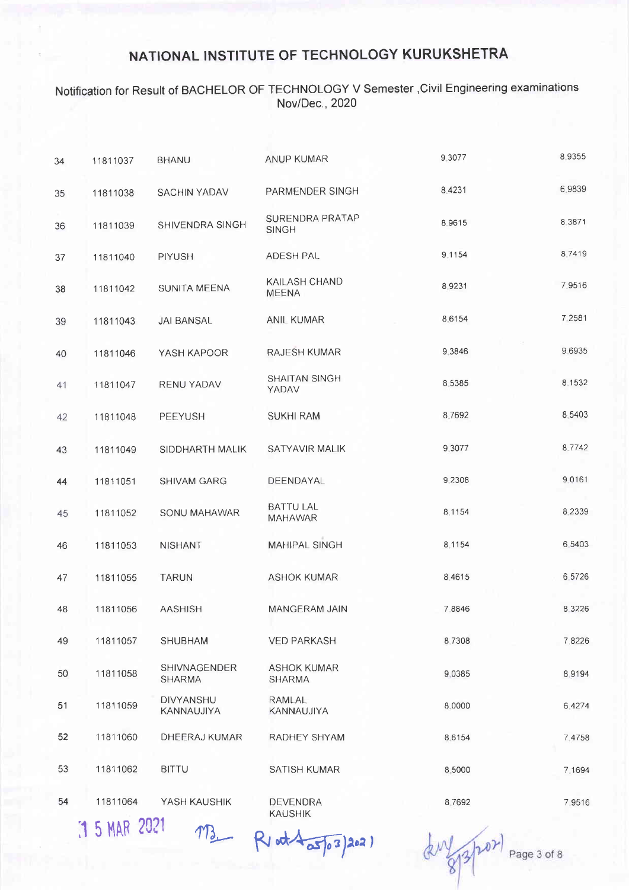#### Notification for Result of BACHELOR OF TECHNOLOGY V Semester,Civil Engineering examinations Nov/Dec., 2020

| 34 | 11811037 | <b>BHANU</b>                   | ANUP KUMAR                          | 9.3077    | 89355     |
|----|----------|--------------------------------|-------------------------------------|-----------|-----------|
| 35 | 11811038 | <b>SACHIN YADAV</b>            | PARMENDER SINGH                     | 8,4231    | 6.9839    |
| 36 | 11811039 | SHIVENDRA SINGH                | SURENDRA PRATAP<br><b>SINGH</b>     | 8.9615    | 8 3 8 7 1 |
| 37 | 11811040 | PIYUSH                         | ADESH PAL                           | 9.1154    | 8.7419    |
| 38 | 11811042 | SUNITA MEENA                   | KAILASH CHAND<br><b>MEENA</b>       | 8.9231    | 7.9516    |
| 39 | 11811043 | <b>JAI BANSAL</b>              | <b>ANIL KUMAR</b>                   | 8.6154    | 7.2581    |
| 40 | 11811046 | YASH KAPOOR                    | RAJESH KUMAR                        | 9.3846    | 9.6935    |
| 41 | 11811047 | RENU YADAV                     | <b>SHAITAN SINGH</b><br>YADAV       | 8 5 3 8 5 | 8.1532    |
| 42 | 11811048 | PEEYUSH                        | <b>SUKHI RAM</b>                    | 8.7692    | 8.5403    |
| 43 | 11811049 | SIDDHARTH MALIK                | <b>SATYAVIR MALIK</b>               | 9 3 0 7 7 | 8.7742    |
| 44 | 11811051 | <b>SHIVAM GARG</b>             | DEENDAYAL                           | 9.2308    | 90161     |
| 45 | 11811052 | SONU MAHAWAR                   | <b>BATTU LAL</b><br>MAHAWAR         | 8.1154    | 8.2339    |
| 46 | 11811053 | <b>NISHANT</b>                 | <b>MAHIPAL SINGH</b>                | 8.1154    | 6.5403    |
| 47 | 11811055 | <b>TARUN</b>                   | <b>ASHOK KUMAR</b>                  | 8,4615    | 6.5726    |
| 48 | 11811056 | <b>AASHISH</b>                 | MANGERAM JAIN                       | 7.8846    | 8 3 2 2 6 |
| 49 | 11811057 | <b>SHUBHAM</b>                 | <b>VED PARKASH</b>                  | 8.7308    | 7,8226    |
| 50 | 11811058 | SHIVNAGENDER<br><b>SHARMA</b>  | <b>ASHOK KUMAR</b><br><b>SHARMA</b> | 9.0385    | 8 9 1 9 4 |
| 51 | 11811059 | <b>DIVYANSHU</b><br>KANNAUJIYA | RAMLAL<br>KANNAUJIYA                | 8.0000    | 6.4274    |
| 52 | 11811060 | DHEERAJ KUMAR                  | RADHEY SHYAM                        | 8.6154    | 7.4758    |
| 53 | 11811062 | <b>BITTU</b>                   | SATISH KUMAR                        | 8.5000    | 7.1694    |
| 54 | 11811064 | YASH KAUSHIK                   | <b>DEVENDRA</b><br><b>KAUSHIK</b>   | 8.7692    | 7 9 5 1 6 |

 $MAR$  2021  $M3$  Riad  $\sqrt{3}$ <sub>0</sub>3)2021

duy 8/3/202

Page 3 of 8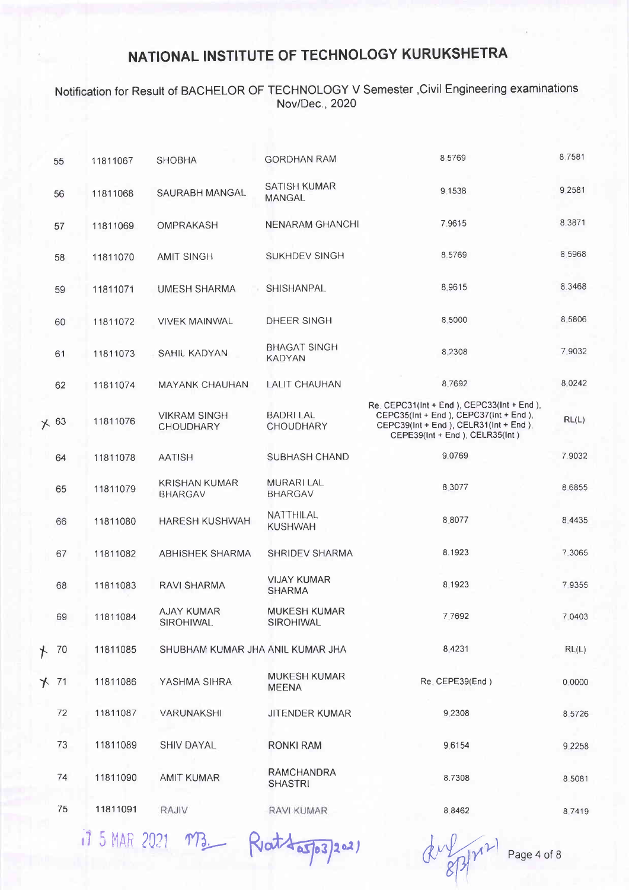#### Notification for Resutt of BACHELOR OF TECHNOLOGY V Semester ,Civil Engineering examinations Nov/Dec., 2020

| 55          | 11811067 | <b>SHOBHA</b>                           | <b>GORDHAN RAM</b>                   | 8.5769                                                                                                                                                                | 8.7581    |
|-------------|----------|-----------------------------------------|--------------------------------------|-----------------------------------------------------------------------------------------------------------------------------------------------------------------------|-----------|
| 56          | 11811068 | SAURABH MANGAL                          | <b>SATISH KUMAR</b><br><b>MANGAL</b> | 9.1538                                                                                                                                                                | 9.2581    |
| 57          | 11811069 | OMPRAKASH                               | <b>NENARAM GHANCHI</b>               | 7.9615                                                                                                                                                                | 8 3 8 7 1 |
| 58          | 11811070 | <b>AMIT SINGH</b>                       | <b>SUKHDEV SINGH</b>                 | 8.5769                                                                                                                                                                | 8.5968    |
| 59          | 11811071 | UMESH SHARMA                            | <b>SHISHANPAL</b>                    | 8.9615                                                                                                                                                                | 8.3468    |
| 60          | 11811072 | <b>VIVEK MAINWAL</b>                    | DHEER SINGH                          | 8,5000                                                                                                                                                                | 8 5 8 0 6 |
| 61          | 11811073 | SAHIL KADYAN                            | <b>BHAGAT SINGH</b><br><b>KADYAN</b> | 8 2 3 0 8                                                                                                                                                             | 7.9032    |
| 62          | 11811074 | <b>MAYANK CHAUHAN</b>                   | <b>LALIT CHAUHAN</b>                 | 8.7692                                                                                                                                                                | 8.0242    |
| $\times$ 63 | 11811076 | <b>VIKRAM SINGH</b><br><b>CHOUDHARY</b> | <b>BADRI LAL</b><br>CHOUDHARY        | Re. CEPC31(Int + End ), CEPC33(Int + End ),<br>CEPC35(Int + End ), CEPC37(Int + End ),<br>CEPC39(Int + End ), CELR31(Int + End ),<br>CEPE39(Int + End ), CELR35(Int ) | RL(L)     |
| 64          | 11811078 | <b>AATISH</b>                           | SUBHASH CHAND                        | 9.0769                                                                                                                                                                | 7.9032    |
| 65          | 11811079 | <b>KRISHAN KUMAR</b><br><b>BHARGAV</b>  | <b>MURARI LAL</b><br><b>BHARGAV</b>  | 8 3 0 7 7                                                                                                                                                             | 8.6855    |
| 66          | 11811080 | <b>HARESH KUSHWAH</b>                   | NATTHILAL<br><b>KUSHWAH</b>          | 8.8077                                                                                                                                                                | 8.4435    |
| 67          | 11811082 | <b>ABHISHEK SHARMA</b>                  | SHRIDEV SHARMA                       | 8.1923                                                                                                                                                                | 7.3065    |
| 68          | 11811083 | <b>RAVI SHARMA</b>                      | <b>VIJAY KUMAR</b><br><b>SHARMA</b>  | 8.1923                                                                                                                                                                | 79355     |
| 69          | 11811084 | AJAY KUMAR<br>SIROHIWAL                 | <b>MUKESH KUMAR</b><br>SIROHIWAL     | 7,7692                                                                                                                                                                | 7 0403    |
| $+ 70$      | 11811085 | SHUBHAM KUMAR JHA ANIL KUMAR JHA        |                                      | 8.4231                                                                                                                                                                | RL(L)     |
| $+ 71$      | 11811086 | YASHMA SIHRA                            | <b>MUKESH KUMAR</b><br><b>MEENA</b>  | Re. CEPE39(End)                                                                                                                                                       | 0.0000    |
| 72          | 11811087 | VARUNAKSHI                              | JITENDER KUMAR                       | 9.2308                                                                                                                                                                | 8.5726    |
| 73          | 11811089 | <b>SHIV DAYAL</b>                       | <b>RONKI RAM</b>                     | 9.6154                                                                                                                                                                | 9.2258    |
| 74          | 11811090 | <b>AMIT KUMAR</b>                       | <b>RAMCHANDRA</b><br><b>SHASTRI</b>  | 8.7308                                                                                                                                                                | 8.5081    |
| 75          | 11811091 | RAJIV                                   | RAVI KUMAR                           | 8.8462                                                                                                                                                                | 8.7419    |
|             |          |                                         |                                      |                                                                                                                                                                       |           |

it 5 MAR 2021 MB. Reat 4 a 5/03/2021

duration

Page 4 of <sup>B</sup>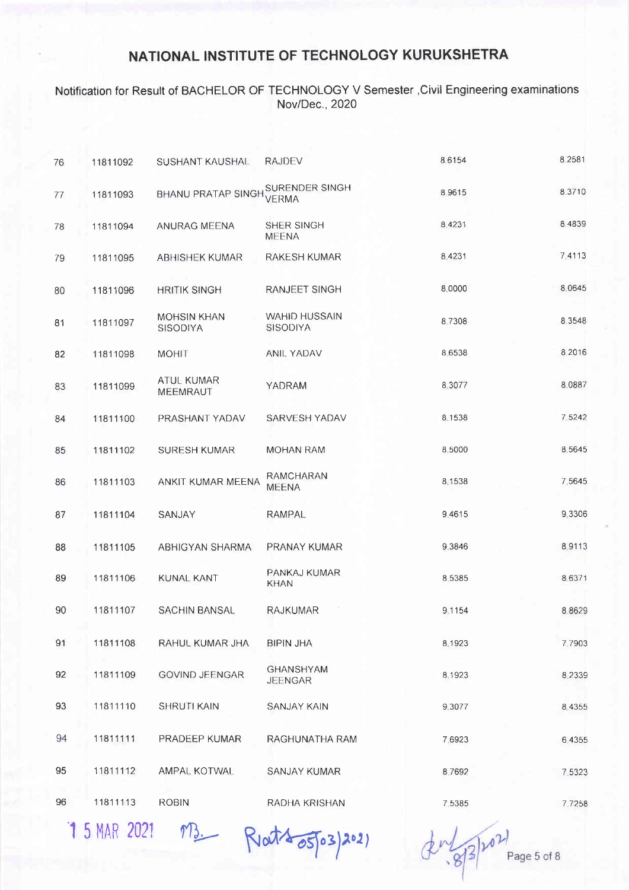#### Notification for Result of BACHELOR OF TECHNOLOGY V Semester ,Civil Engineering examinations Nov/Dec., 2020

| 76 | 11811092 | SUSHANT KAUSHAL                       | <b>RAJDEV</b>                      | 8.6154    | 8.2581    |
|----|----------|---------------------------------------|------------------------------------|-----------|-----------|
| 77 | 11811093 | BHANU PRATAP SINGH SURENDER SINGH     | <b>VERMA</b>                       | 8,9615    | 8 3710    |
| 78 | 11811094 | ANURAG MEENA                          | SHER SINGH<br><b>MEENA</b>         | 8.4231    | 8 4 8 3 9 |
| 79 | 11811095 | ABHISHEK KUMAR                        | RAKESH KUMAR                       | 8.4231    | 74113     |
| 80 | 11811096 | <b>HRITIK SINGH</b>                   | RANJEET SINGH                      | 8.0000    | 8.0645    |
| 81 | 11811097 | <b>MOHSIN KHAN</b><br><b>SISODIYA</b> | <b>WAHID HUSSAIN</b><br>SISODIYA   | 8.7308    | 8 3 5 4 8 |
| 82 | 11811098 | <b>MOHIT</b>                          | ANIL YADAV                         | 8 6 5 3 8 | 8 2016    |
| 83 | 11811099 | ATUL KUMAR<br><b>MEEMRAUT</b>         | YADRAM                             | 8,3077    | 8.0887    |
| 84 | 11811100 | PRASHANT YADAV                        | SARVESH YADAV                      | 8 1538    | 7.5242    |
| 85 | 11811102 | <b>SURESH KUMAR</b>                   | <b>MOHAN RAM</b>                   | 8.5000    | 8.5645    |
| 86 | 11811103 | ANKIT KUMAR MEENA                     | RAMCHARAN<br><b>MEENA</b>          | 8.1538    | 7.5645    |
| 87 | 11811104 | SANJAY                                | <b>RAMPAL</b>                      | 9.4615    | 9.3306    |
| 88 | 11811105 | ABHIGYAN SHARMA                       | PRANAY KUMAR                       | 9.3846    | 8.9113    |
| 89 | 11811106 | <b>KUNAL KANT</b>                     | PANKAJ KUMAR<br><b>KHAN</b>        | 8 5 3 8 5 | 8 6 3 7 1 |
| 90 | 11811107 | <b>SACHIN BANSAL</b>                  | <b>RAJKUMAR</b>                    | 9.1154    | 8 8 6 2 9 |
| 91 | 11811108 | RAHUL KUMAR JHA                       | <b>BIPIN JHA</b>                   | 8 1923    | 7.7903    |
| 92 | 11811109 | <b>GOVIND JEENGAR</b>                 | <b>GHANSHYAM</b><br><b>JEENGAR</b> | 8.1923    | 8.2339    |
| 93 | 11811110 | <b>SHRUTI KAIN</b>                    | <b>SANJAY KAIN</b>                 | 9 3 0 7 7 | 8 4 3 5 5 |
| 94 | 11811111 | PRADEEP KUMAR                         | RAGHUNATHA RAM                     | 7.6923    | 6.4355    |
| 95 | 11811112 | AMPAL KOTWAL                          | SANJAY KUMAR                       | 8.7692    | 7 5323    |
| 96 | 11811113 | <b>ROBIN</b>                          | RADHA KRISHAN                      | 7.5385    | 7.7258    |

15 MAR 2021 MB Reat 4 05 03 2021

Page 5 of 8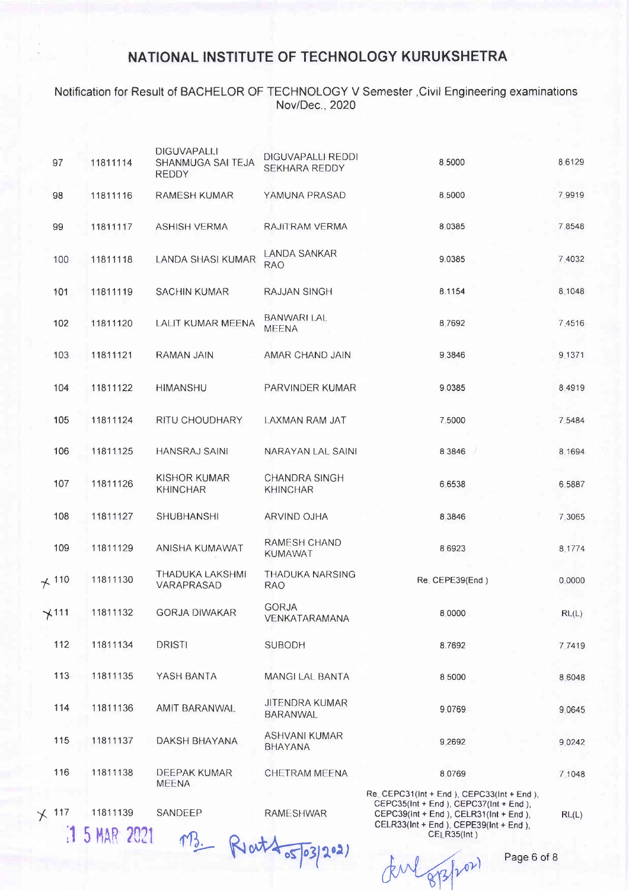#### Notification for Result of BACHELOR OF TECHNOLOGY V Semester ,Civil Engineering examinations Nov/Dec., 2020

| 97              | 11811114                 | <b>DIGUVAPALLI</b><br>SHANMUGA SAI TEJA<br><b>REDDY</b> | DIGUVAPALLI REDDI<br>SEKHARA REDDY      | 8.5000                                                                                                                                                                                             | 86129     |
|-----------------|--------------------------|---------------------------------------------------------|-----------------------------------------|----------------------------------------------------------------------------------------------------------------------------------------------------------------------------------------------------|-----------|
| 98              | 11811116                 | <b>RAMESH KUMAR</b>                                     | YAMUNA PRASAD                           | 8.5000                                                                                                                                                                                             | 7 9 9 1 9 |
| 99              | 11811117                 | <b>ASHISH VERMA</b>                                     | RAJITRAM VERMA                          | 8.0385                                                                                                                                                                                             | 7,8548    |
| 100             | 11811118                 | LANDA SHASI KUMAR                                       | LANDA SANKAR<br><b>RAO</b>              | 9.0385                                                                                                                                                                                             | 7,4032    |
| 101             | 11811119                 | <b>SACHIN KUMAR</b>                                     | <b>RAJJAN SINGH</b>                     | 8.1154                                                                                                                                                                                             | 8.1048    |
| 102             | 11811120                 | LALIT KUMAR MEENA                                       | <b>BANWARI LAL</b><br><b>MEENA</b>      | 8.7692                                                                                                                                                                                             | 7.4516    |
| 103             | 11811121                 | RAMAN JAIN                                              | AMAR CHAND JAIN                         | 9.3846                                                                                                                                                                                             | 9.1371    |
| 104             | 11811122                 | <b>HIMANSHU</b>                                         | PARVINDER KUMAR                         | 9.0385                                                                                                                                                                                             | 8.4919    |
| 105             | 11811124                 | RITU CHOUDHARY                                          | LAXMAN RAM JAT                          | 7,5000                                                                                                                                                                                             | 7.5484    |
| 106             | 11811125                 | <b>HANSRAJ SAINI</b>                                    | NARAYAN LAL SAINI                       | 8.3846                                                                                                                                                                                             | 8 1694    |
| 107             | 11811126                 | KISHOR KUMAR<br><b>KHINCHAR</b>                         | <b>CHANDRA SINGH</b><br><b>KHINCHAR</b> | 6.6538                                                                                                                                                                                             | 6.5887    |
| 108             | 11811127                 | SHUBHANSHI                                              | ARVIND OJHA                             | 8.3846                                                                                                                                                                                             | 7.3065    |
| 109             | 11811129                 | ANISHA KUMAWAT                                          | RAMESH CHAND<br><b>KUMAWAT</b>          | 8.6923                                                                                                                                                                                             | 8.1774    |
| $+110$          | 11811130                 | THADUKA LAKSHMI<br>VARAPRASAD                           | <b>THADUKA NARSING</b><br><b>RAO</b>    | Re. CEPE39(End)                                                                                                                                                                                    | 0.0000    |
| $+111$          | 11811132                 | <b>GORJA DIWAKAR</b>                                    | <b>GORJA</b><br>VENKATARAMANA           | 8.0000                                                                                                                                                                                             | RL(L)     |
| 112             | 11811134                 | <b>DRISTI</b>                                           | <b>SUBODH</b>                           | 8.7692                                                                                                                                                                                             | 7.7419    |
| 113             | 11811135                 | YASH BANTA                                              | <b>MANGI LAL BANTA</b>                  | 8.5000                                                                                                                                                                                             | 8.6048    |
| 114             | 11811136                 | AMIT BARANWAL                                           | <b>JITENDRA KUMAR</b><br>BARANWAL       | 9.0769                                                                                                                                                                                             | 9.0645    |
| 115             | 11811137                 | DAKSH BHAYANA                                           | ASHVANI KUMAR<br><b>BHAYANA</b>         | 9.2692                                                                                                                                                                                             | 9 0 2 4 2 |
| 116             | 11811138                 | DEEPAK KUMAR<br><b>MEENA</b>                            | CHETRAM MEENA                           | 8.0769                                                                                                                                                                                             | 7.1048    |
| 117<br>$\times$ | 11811139<br>1 5 MAR 2021 | SANDEEP<br>$Q_{\cdot} + \lambda$                        | <b>RAMESHWAR</b>                        | Re. CEPC31(Int + End ), CEPC33(Int + End ),<br>CEPC35(Int + End ), CEPC37(Int + End ),<br>CEPC39(Int + End ), CELR31(Int + End ),<br>CELR33(Int + End ), CEPE39(Int + End ),<br><b>CELR35(Int)</b> | RL(L)     |

 $\not\pi$ W $\not\pi$ <sup>por</sup>) Page 6 of 8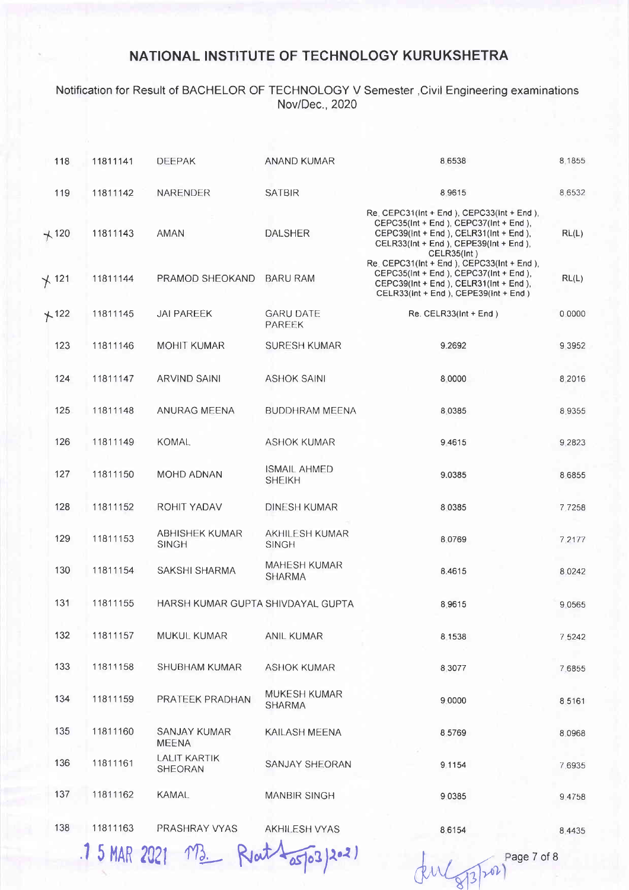#### Notification for Result of BACHELOR OF TECHNOLOGY V Semester ,Civil Engineering examinations Nov/Dec., 2020

| 118        | 11811141 | <b>DEEPAK</b>                         | ANAND KUMAR                           | 8.6538                                                                                                                                                                                      | 8.1855    |
|------------|----------|---------------------------------------|---------------------------------------|---------------------------------------------------------------------------------------------------------------------------------------------------------------------------------------------|-----------|
| 119        | 11811142 | NARENDER                              | <b>SATBIR</b>                         | 8.9615                                                                                                                                                                                      | 8.6532    |
| $+120$     | 11811143 | AMAN                                  | <b>DALSHER</b>                        | Re. CEPC31(Int + End ), CEPC33(Int + End ),<br>CEPC35(Int + End ), CEPC37(Int + End ),<br>CEPC39(Int + End ), CELR31(Int + End ),<br>CELR33(Int + End ), CEPE39(Int + End ),<br>CELR35(Int) | RL(L)     |
| $\chi$ 121 | 11811144 | PRAMOD SHEOKAND                       | <b>BARU RAM</b>                       | Re. CEPC31(Int + End ), CEPC33(Int + End ),<br>CEPC35(Int + End ), CEPC37(Int + End ),<br>CEPC39(Int + End ), CELR31(Int + End ),<br>CELR33(Int + End ), CEPE39(Int + End )                 | RL(L)     |
| $+122$     | 11811145 | <b>JAI PAREEK</b>                     | <b>GARU DATE</b><br><b>PAREEK</b>     | Re. CELR33(Int + End)                                                                                                                                                                       | 0.0000    |
| 123        | 11811146 | MOHIT KUMAR                           | <b>SURESH KUMAR</b>                   | 9.2692                                                                                                                                                                                      | 9.3952    |
| 124        | 11811147 | <b>ARVIND SAINI</b>                   | <b>ASHOK SAINI</b>                    | 8.0000                                                                                                                                                                                      | 8 2016    |
| 125        | 11811148 | ANURAG MEENA                          | <b>BUDDHRAM MEENA</b>                 | 8.0385                                                                                                                                                                                      | 8.9355    |
| 126        | 11811149 | <b>KOMAL</b>                          | <b>ASHOK KUMAR</b>                    | 9 4 6 1 5                                                                                                                                                                                   | 9.2823    |
| 127        | 11811150 | <b>MOHD ADNAN</b>                     | <b>ISMAIL AHMED</b><br><b>SHEIKH</b>  | 9.0385                                                                                                                                                                                      | 8.6855    |
| 128        | 11811152 | ROHIT YADAV                           | <b>DINESH KUMAR</b>                   | 8 0 3 8 5                                                                                                                                                                                   | 7.7258    |
| 129        | 11811153 | <b>ABHISHEK KUMAR</b><br><b>SINGH</b> | <b>AKHILESH KUMAR</b><br><b>SINGH</b> | 8.0769                                                                                                                                                                                      | 7 2177    |
| 130        | 11811154 | SAKSHI SHARMA                         | <b>MAHESH KUMAR</b><br><b>SHARMA</b>  | 8.4615                                                                                                                                                                                      | 8 0 2 4 2 |
| 131        | 11811155 | HARSH KUMAR GUPTA SHIVDAYAL GUPTA     |                                       | 8.9615                                                                                                                                                                                      | 9 0 5 6 5 |
| 132        | 11811157 | MUKUL KUMAR                           | <b>ANIL KUMAR</b>                     | 8 1538                                                                                                                                                                                      | 7.5242    |
| 133        | 11811158 | <b>SHUBHAM KUMAR</b>                  | <b>ASHOK KUMAR</b>                    | 8.3077                                                                                                                                                                                      | 7.6855    |
| 134        | 11811159 | PRATEEK PRADHAN                       | <b>MUKESH KUMAR</b><br><b>SHARMA</b>  | 9.0000                                                                                                                                                                                      | 8.5161    |
| 135        | 11811160 | SANJAY KUMAR<br><b>MEENA</b>          | KAILASH MEENA                         | 8.5769                                                                                                                                                                                      | 8.0968    |
| 136        | 11811161 | <b>LALIT KARTIK</b><br><b>SHEORAN</b> | SANJAY SHEORAN                        | 9.1154                                                                                                                                                                                      | 7.6935    |
| 137        | 11811162 | <b>KAMAL</b>                          | <b>MANBIR SINGH</b>                   | 9.0385                                                                                                                                                                                      | 9.4758    |
| 138        | 11811163 | PRASHRAY VYAS                         | AKHILESH VYAS                         | 8.6154                                                                                                                                                                                      | 8.4435    |

15 MAR 2021 MB Rout Laspo3/2021 del Gyspal

Page 7 of 8